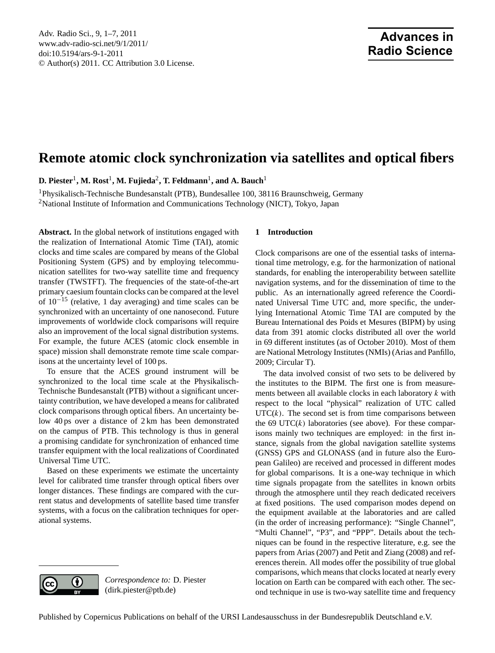# <span id="page-0-0"></span>**Remote atomic clock synchronization via satellites and optical fibers**

 ${\bf D. \,\, Piester}^1,$   ${\bf M. \,\, Rost}^1,$   ${\bf M. \,\, Fujieda^2,}$   ${\bf T. \,\, Feldmann}^1,$   ${\bf and \,\, A. \,\, Bauch}^1$ 

<sup>1</sup>Physikalisch-Technische Bundesanstalt (PTB), Bundesallee 100, 38116 Braunschweig, Germany <sup>2</sup>National Institute of Information and Communications Technology (NICT), Tokyo, Japan

**Abstract.** In the global network of institutions engaged with the realization of International Atomic Time (TAI), atomic clocks and time scales are compared by means of the Global Positioning System (GPS) and by employing telecommunication satellites for two-way satellite time and frequency transfer (TWSTFT). The frequencies of the state-of-the-art primary caesium fountain clocks can be compared at the level of 10−<sup>15</sup> (relative, 1 day averaging) and time scales can be synchronized with an uncertainty of one nanosecond. Future improvements of worldwide clock comparisons will require also an improvement of the local signal distribution systems. For example, the future ACES (atomic clock ensemble in space) mission shall demonstrate remote time scale comparisons at the uncertainty level of 100 ps.

To ensure that the ACES ground instrument will be synchronized to the local time scale at the Physikalisch-Technische Bundesanstalt (PTB) without a significant uncertainty contribution, we have developed a means for calibrated clock comparisons through optical fibers. An uncertainty below 40 ps over a distance of 2 km has been demonstrated on the campus of PTB. This technology is thus in general a promising candidate for synchronization of enhanced time transfer equipment with the local realizations of Coordinated Universal Time UTC.

Based on these experiments we estimate the uncertainty level for calibrated time transfer through optical fibers over longer distances. These findings are compared with the current status and developments of satellite based time transfer systems, with a focus on the calibration techniques for operational systems.

## **1 Introduction**

Clock comparisons are one of the essential tasks of international time metrology, e.g. for the harmonization of national standards, for enabling the interoperability between satellite navigation systems, and for the dissemination of time to the public. As an internationally agreed reference the Coordinated Universal Time UTC and, more specific, the underlying International Atomic Time TAI are computed by the Bureau International des Poids et Mesures (BIPM) by using data from 391 atomic clocks distributed all over the world in 69 different institutes (as of October 2010). Most of them are National Metrology Institutes (NMIs) (Arias and Panfillo, 2009; Circular T).

The data involved consist of two sets to be delivered by the institutes to the BIPM. The first one is from measurements between all available clocks in each laboratory  $k$  with respect to the local "physical" realization of UTC called  $UTC(k)$ . The second set is from time comparisons between the 69 UTC $(k)$  laboratories (see above). For these comparisons mainly two techniques are employed: in the first instance, signals from the global navigation satellite systems (GNSS) GPS and GLONASS (and in future also the European Galileo) are received and processed in different modes for global comparisons. It is a one-way technique in which time signals propagate from the satellites in known orbits through the atmosphere until they reach dedicated receivers at fixed positions. The used comparison modes depend on the equipment available at the laboratories and are called (in the order of increasing performance): "Single Channel", "Multi Channel", "P3", and "PPP". Details about the techniques can be found in the respective literature, e.g. see the papers from Arias (2007) and Petit and Ziang (2008) and references therein. All modes offer the possibility of true global comparisons, which means that clocks located at nearly every location on Earth can be compared with each other. The second technique in use is two-way satellite time and frequency



*Correspondence to:* D. Piester (dirk.piester@ptb.de)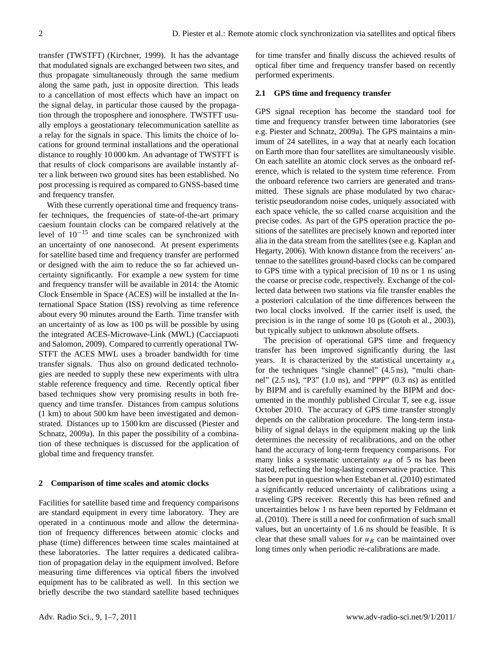transfer (TWSTFT) (Kirchner, 1999). It has the advantage that modulated signals are exchanged between two sites, and thus propagate simultaneously through the same medium along the same path, just in opposite direction. This leads to a cancellation of most effects which have an impact on the signal delay, in particular those caused by the propagation through the troposphere and ionosphere. TWSTFT usually employs a geostationary telecommunication satellite as a relay for the signals in space. This limits the choice of locations for ground terminal installations and the operational distance to roughly 10 000 km. An advantage of TWSTFT is that results of clock comparisons are available instantly after a link between two ground sites has been established. No post processing is required as compared to GNSS-based time and frequency transfer.

With these currently operational time and frequency transfer techniques, the frequencies of state-of-the-art primary caesium fountain clocks can be compared relatively at the level of 10−<sup>15</sup> and time scales can be synchronized with an uncertainty of one nanosecond. At present experiments for satellite based time and frequency transfer are performed or designed with the aim to reduce the so far achieved uncertainty significantly. For example a new system for time and frequency transfer will be available in 2014: the Atomic Clock Ensemble in Space (ACES) will be installed at the International Space Station (ISS) revolving as time reference about every 90 minutes around the Earth. Time transfer with an uncertainty of as low as 100 ps will be possible by using the integrated ACES-Microwave-Link (MWL) (Cacciapuoti and Salomon, 2009). Compared to currently operational TW-STFT the ACES MWL uses a broader bandwidth for time transfer signals. Thus also on ground dedicated technologies are needed to supply these new experiments with ultra stable reference frequency and time. Recently optical fiber based techniques show very promising results in both frequency and time transfer. Distances from campus solutions (1 km) to about 500 km have been investigated and demonstrated. Distances up to 1500 km are discussed (Piester and Schnatz, 2009a). In this paper the possibility of a combination of these techniques is discussed for the application of global time and frequency transfer.

#### **2 Comparison of time scales and atomic clocks**

Facilities for satellite based time and frequency comparisons are standard equipment in every time laboratory. They are operated in a continuous mode and allow the determination of frequency differences between atomic clocks and phase (time) differences between time scales maintained at these laboratories. The latter requires a dedicated calibration of propagation delay in the equipment involved. Before measuring time differences via optical fibers the involved equipment has to be calibrated as well. In this section we briefly describe the two standard satellite based techniques for time transfer and finally discuss the achieved results of optical fiber time and frequency transfer based on recently performed experiments.

## **2.1 GPS time and frequency transfer**

GPS signal reception has become the standard tool for time and frequency transfer between time laboratories (see e.g. Piester and Schnatz, 2009a). The GPS maintains a minimum of 24 satellites, in a way that at nearly each location on Earth more than four satellites are simultaneously visible. On each satellite an atomic clock serves as the onboard reference, which is related to the system time reference. From the onboard reference two carriers are generated and transmitted. These signals are phase modulated by two characteristic pseudorandom noise codes, uniquely associated with each space vehicle, the so called coarse acquisition and the precise codes. As part of the GPS operation practice the positions of the satellites are precisely known and reported inter alia in the data stream from the satellites (see e.g. Kaplan and Hegarty, 2006). With known distance from the receivers' antennae to the satellites ground-based clocks can be compared to GPS time with a typical precision of 10 ns or 1 ns using the coarse or precise code, respectively. Exchange of the collected data between two stations via file transfer enables the a posteriori calculation of the time differences between the two local clocks involved. If the carrier itself is used, the precision is in the range of some 10 ps (Gotoh et al., 2003), but typically subject to unknown absolute offsets.

The precision of operational GPS time and frequency transfer has been improved significantly during the last years. It is characterized by the statistical uncertainty  $u_A$ for the techniques "single channel" (4.5 ns), "multi channel" (2.5 ns), "P3" (1.0 ns), and "PPP" (0.3 ns) as entitled by BIPM and is carefully examined by the BIPM and documented in the monthly published Circular T, see e.g. issue October 2010. The accuracy of GPS time transfer strongly depends on the calibration procedure. The long-term instability of signal delays in the equipment making up the link determines the necessity of recalibrations, and on the other hand the accuracy of long-term frequency comparisons. For many links a systematic uncertainty  $u_B$  of 5 ns has been stated, reflecting the long-lasting conservative practice. This has been put in question when Esteban et al. (2010) estimated a significantly reduced uncertainty of calibrations using a traveling GPS receiver. Recently this has been refined and uncertainties below 1 ns have been reported by Feldmann et al. (2010). There is still a need for confirmation of such small values, but an uncertainty of 1.6 ns should be feasible. It is clear that these small values for  $u_B$  can be maintained over long times only when periodic re-calibrations are made.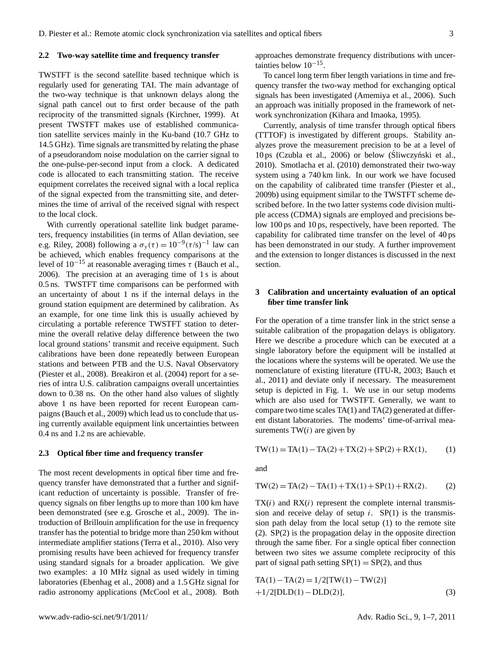#### **2.2 Two-way satellite time and frequency transfer**

TWSTFT is the second satellite based technique which is regularly used for generating TAI. The main advantage of the two-way technique is that unknown delays along the signal path cancel out to first order because of the path reciprocity of the transmitted signals (Kirchner, 1999). At present TWSTFT makes use of established communication satellite services mainly in the Ku-band (10.7 GHz to 14.5 GHz). Time signals are transmitted by relating the phase of a pseudorandom noise modulation on the carrier signal to the one-pulse-per-second input from a clock. A dedicated code is allocated to each transmitting station. The receive equipment correlates the received signal with a local replica of the signal expected from the transmitting site, and determines the time of arrival of the received signal with respect to the local clock.

With currently operational satellite link budget parameters, frequency instabilities (in terms of Allan deviation, see e.g. Riley, 2008) following a  $\sigma_y(\tau) = 10^{-9} (\tau/s)^{-1}$  law can be achieved, which enables frequency comparisons at the level of  $10^{-15}$  at reasonable averaging times  $\tau$  (Bauch et al., 2006). The precision at an averaging time of 1 s is about 0.5 ns. TWSTFT time comparisons can be performed with an uncertainty of about 1 ns if the internal delays in the ground station equipment are determined by calibration. As an example, for one time link this is usually achieved by circulating a portable reference TWSTFT station to determine the overall relative delay difference between the two local ground stations' transmit and receive equipment. Such calibrations have been done repeatedly between European stations and between PTB and the U.S. Naval Observatory (Piester et al., 2008). Breakiron et al. (2004) report for a series of intra U.S. calibration campaigns overall uncertainties down to 0.38 ns. On the other hand also values of slightly above 1 ns have been reported for recent European campaigns (Bauch et al., 2009) which lead us to conclude that using currently available equipment link uncertainties between 0.4 ns and 1.2 ns are achievable.

#### **2.3 Optical fiber time and frequency transfer**

The most recent developments in optical fiber time and frequency transfer have demonstrated that a further and significant reduction of uncertainty is possible. Transfer of frequency signals on fiber lengths up to more than 100 km have been demonstrated (see e.g. Grosche et al., 2009). The introduction of Brillouin amplification for the use in frequency transfer has the potential to bridge more than 250 km without intermediate amplifier stations (Terra et al., 2010). Also very promising results have been achieved for frequency transfer using standard signals for a broader application. We give two examples: a 10 MHz signal as used widely in timing laboratories (Ebenhag et al., 2008) and a 1.5 GHz signal for radio astronomy applications (McCool et al., 2008). Both approaches demonstrate frequency distributions with uncertainties below 10−<sup>15</sup> .

To cancel long term fiber length variations in time and frequency transfer the two-way method for exchanging optical signals has been investigated (Amemiya et al., 2006). Such an approach was initially proposed in the framework of network synchronization (Kihara and Imaoka, 1995).

Currently, analysis of time transfer through optical fibers (TTTOF) is investigated by different groups. Stability analyzes prove the measurement precision to be at a level of  $10 \text{ ps }$  (Czubla et al.,  $2006$ ) or below (Sliwczyński et al., 2010). Smotlacha et al. (2010) demonstrated their two-way system using a 740 km link. In our work we have focused on the capability of calibrated time transfer (Piester et al., 2009b) using equipment similar to the TWSTFT scheme described before. In the two latter systems code division multiple access (CDMA) signals are employed and precisions below 100 ps and 10 ps, respectively, have been reported. The capability for calibrated time transfer on the level of 40 ps has been demonstrated in our study. A further improvement and the extension to longer distances is discussed in the next section.

# **3 Calibration and uncertainty evaluation of an optical fiber time transfer link**

For the operation of a time transfer link in the strict sense a suitable calibration of the propagation delays is obligatory. Here we describe a procedure which can be executed at a single laboratory before the equipment will be installed at the locations where the systems will be operated. We use the nomenclature of existing literature (ITU-R, 2003; Bauch et al., 2011) and deviate only if necessary. The measurement setup is depicted in Fig. 1. We use in our setup modems which are also used for TWSTFT. Generally, we want to compare two time scales TA(1) and TA(2) generated at different distant laboratories. The modems' time-of-arrival measurements  $TW(i)$  are given by

$$
TW(1) = TA(1) - TA(2) + TX(2) + SP(2) + RX(1),
$$
 (1)

and

$$
TW(2) = TA(2) - TA(1) + TX(1) + SP(1) + RX(2).
$$
 (2)

 $TX(i)$  and  $RX(i)$  represent the complete internal transmission and receive delay of setup  $i$ . SP(1) is the transmission path delay from the local setup (1) to the remote site (2). SP(2) is the propagation delay in the opposite direction through the same fiber. For a single optical fiber connection between two sites we assume complete reciprocity of this part of signal path setting  $SP(1) = SP(2)$ , and thus

$$
TA(1) - TA(2) = 1/2[TW(1) - TW(2)]
$$
  
+1/2[DLD(1) - DLD(2)], (3)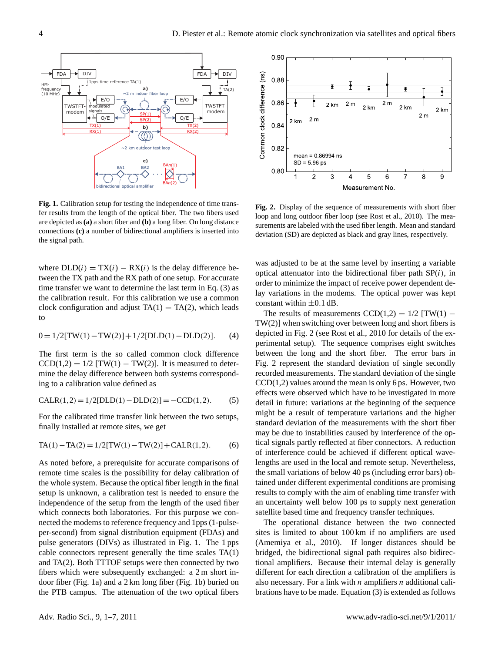

**Fig. 1.** Calibration setup for testing the independence of time transfer results from the length of the optical fiber. The two fibers used are depicted as**(a)** a short fiber and **(b)** a long fiber. On long distance connections **(c)** a number of bidirectional amplifiers is inserted into the signal path.

where  $DLD(i) = TX(i) - RX(i)$  is the delay difference between the TX path and the RX path of one setup. For accurate time transfer we want to determine the last term in Eq. (3) as the calibration result. For this calibration we use a common clock configuration and adjust  $TA(1) = TA(2)$ , which leads to

$$
0 = 1/2[TW(1) - TW(2)] + 1/2[DLD(1) - DLD(2)].
$$
 (4)

The first term is the so called common clock difference  $CCD(1,2) = 1/2$  [TW(1) – TW(2)]. It is measured to determine the delay difference between both systems corresponding to a calibration value defined as

$$
CALR(1,2) = 1/2[DLD(1) - DLD(2)] = -CCD(1,2).
$$
 (5)

For the calibrated time transfer link between the two setups, finally installed at remote sites, we get

$$
TA(1) - TA(2) = 1/2[TW(1) - TW(2)] + CALR(1, 2). \tag{6}
$$

As noted before, a prerequisite for accurate comparisons of remote time scales is the possibility for delay calibration of the whole system. Because the optical fiber length in the final setup is unknown, a calibration test is needed to ensure the independence of the setup from the length of the used fiber which connects both laboratories. For this purpose we connected the modems to reference frequency and 1pps (1-pulseper-second) from signal distribution equipment (FDAs) and pulse generators (DIVs) as illustrated in Fig. 1. The 1 pps cable connectors represent generally the time scales TA(1) and TA(2). Both TTTOF setups were then connected by two fibers which were subsequently exchanged: a 2 m short indoor fiber (Fig. 1a) and a 2 km long fiber (Fig. 1b) buried on the PTB campus. The attenuation of the two optical fibers



**Fig. 2.** Display of the sequence of measurements with short fiber loop and long outdoor fiber loop (see Rost et al., 2010). The measurements are labeled with the used fiber length. Mean and standard deviation (SD) are depicted as black and gray lines, respectively.

was adjusted to be at the same level by inserting a variable optical attenuator into the bidirectional fiber path  $SP(i)$ , in order to minimize the impact of receive power dependent delay variations in the modems. The optical power was kept constant within  $\pm 0.1$  dB.

The results of measurements  $CCD(1,2) = 1/2$  [TW(1) – TW(2)] when switching over between long and short fibers is depicted in Fig. 2 (see Rost et al., 2010 for details of the experimental setup). The sequence comprises eight switches between the long and the short fiber. The error bars in Fig. 2 represent the standard deviation of single secondly recorded measurements. The standard deviation of the single  $CCD(1,2)$  values around the mean is only 6 ps. However, two effects were observed which have to be investigated in more detail in future: variations at the beginning of the sequence might be a result of temperature variations and the higher standard deviation of the measurements with the short fiber may be due to instabilities caused by interference of the optical signals partly reflected at fiber connectors. A reduction of interference could be achieved if different optical wavelengths are used in the local and remote setup. Nevertheless, the small variations of below 40 ps (including error bars) obtained under different experimental conditions are promising results to comply with the aim of enabling time transfer with an uncertainty well below 100 ps to supply next generation satellite based time and frequency transfer techniques.

The operational distance between the two connected sites is limited to about 100 km if no amplifiers are used (Amemiya et al., 2010). If longer distances should be bridged, the bidirectional signal path requires also bidirectional amplifiers. Because their internal delay is generally different for each direction a calibration of the amplifiers is also necessary. For a link with *n* amplifiers *n* additional calibrations have to be made. Equation (3) is extended as follows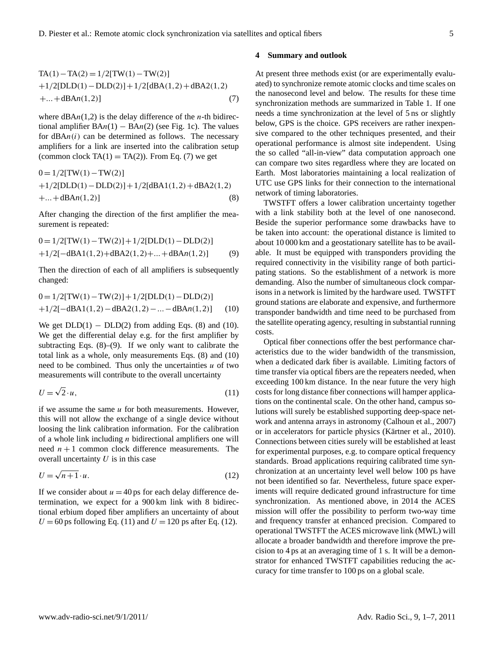TA(1) – TA(2) = 
$$
1/2[TW(1) – TW(2)]
$$
  
+1/2[DLD(1) – DLD(2)] + 1/2[dBA(1,2) + dBA2(1,2)  
+...+dBAn(1,2)] (7)

where  $dBAn(1,2)$  is the delay difference of the *n*-th bidirectional amplifier  $BAn(1) - BAn(2)$  (see Fig. 1c). The values for  $dBAn(i)$  can be determined as follows. The necessary amplifiers for a link are inserted into the calibration setup (common clock  $TA(1) = TA(2)$ ). From Eq. (7) we get

$$
0 = 1/2[TW(1) - TW(2)]
$$
  
+1/2[DLD(1) - DLD(2)] + 1/2[dBA1(1,2) + dBA2(1,2)  
+...+dBAn(1,2)] (8)

After changing the direction of the first amplifier the measurement is repeated:

$$
0 = 1/2[TW(1) - TW(2)] + 1/2[DLD(1) - DLD(2)]
$$
  
+1/2[-dBA1(1,2)+dBA2(1,2)+...+dBAn(1,2)] (9)

Then the direction of each of all amplifiers is subsequently changed:

$$
0 = 1/2[TW(1) - TW(2)] + 1/2[DLD(1) - DLD(2)]
$$
  
+1/2[-dBA1(1,2) - dBA2(1,2) - ... - dBAn(1,2)] (10)

We get  $DLD(1) - DLD(2)$  from adding Eqs. (8) and (10). We get the differential delay e.g. for the first amplifier by subtracting Eqs.  $(8)$ – $(9)$ . If we only want to calibrate the total link as a whole, only measurements Eqs. (8) and (10) need to be combined. Thus only the uncertainties  $u$  of two measurements will contribute to the overall uncertainty

$$
U = \sqrt{2} \cdot u,\tag{11}
$$

if we assume the same  $u$  for both measurements. However, this will not allow the exchange of a single device without loosing the link calibration information. For the calibration of a whole link including  $n$  bidirectional amplifiers one will need  $n + 1$  common clock difference measurements. The overall uncertainty  $U$  is in this case

$$
U = \sqrt{n+1} \cdot u. \tag{12}
$$

If we consider about  $u = 40$  ps for each delay difference determination, we expect for a 900 km link with 8 bidirectional erbium doped fiber amplifiers an uncertainty of about  $U = 60$  ps following Eq. (11) and  $U = 120$  ps after Eq. (12).

#### **4 Summary and outlook**

At present three methods exist (or are experimentally evaluated) to synchronize remote atomic clocks and time scales on the nanosecond level and below. The results for these time synchronization methods are summarized in Table 1. If one needs a time synchronization at the level of 5 ns or slightly below, GPS is the choice. GPS receivers are rather inexpensive compared to the other techniques presented, and their operational performance is almost site independent. Using the so called "all-in-view" data computation approach one can compare two sites regardless where they are located on Earth. Most laboratories maintaining a local realization of UTC use GPS links for their connection to the international network of timing laboratories.

TWSTFT offers a lower calibration uncertainty together with a link stability both at the level of one nanosecond. Beside the superior performance some drawbacks have to be taken into account: the operational distance is limited to about 10 000 km and a geostationary satellite has to be available. It must be equipped with transponders providing the required connectivity in the visibility range of both participating stations. So the establishment of a network is more demanding. Also the number of simultaneous clock comparisons in a network is limited by the hardware used. TWSTFT ground stations are elaborate and expensive, and furthermore transponder bandwidth and time need to be purchased from the satellite operating agency, resulting in substantial running costs.

Optical fiber connections offer the best performance characteristics due to the wider bandwidth of the transmission, when a dedicated dark fiber is available. Limiting factors of time transfer via optical fibers are the repeaters needed, when exceeding 100 km distance. In the near future the very high costs for long distance fiber connections will hamper applications on the continental scale. On the other hand, campus solutions will surely be established supporting deep-space network and antenna arrays in astronomy (Calhoun et al., 2007) or in accelerators for particle physics (Kärtner et al., 2010). Connections between cities surely will be established at least for experimental purposes, e.g. to compare optical frequency standards. Broad applications requiring calibrated time synchronization at an uncertainty level well below 100 ps have not been identified so far. Nevertheless, future space experiments will require dedicated ground infrastructure for time synchronization. As mentioned above, in 2014 the ACES mission will offer the possibility to perform two-way time and frequency transfer at enhanced precision. Compared to operational TWSTFT the ACES microwave link (MWL) will allocate a broader bandwidth and therefore improve the precision to 4 ps at an averaging time of 1 s. It will be a demonstrator for enhanced TWSTFT capabilities reducing the accuracy for time transfer to 100 ps on a global scale.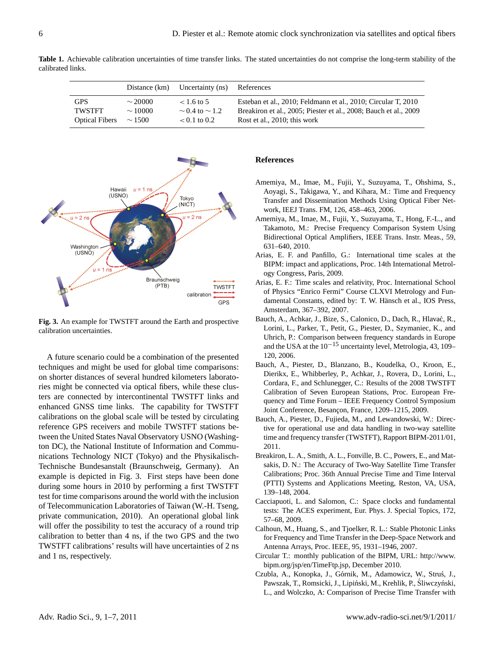Distance (km) Uncertainty (ns) References GPS ∼ 20000 < 1.6 to 5 Esteban et al., 2010; Feldmann et al., 2010; Circular T, 2010 TWSTFT  $~\sim 10000$   $~\sim 0.4$  to  $~\sim 1.2$  Breakiron et al., 2005; Piester et al., 2008; Bauch et al., 2009<br>Optical Fibers  $~\sim 1500$   $~\sim 0.1$  to 0.2 Rost et al., 2010; this work

Optical Fibers  $~ \sim 1500$  < 0.1 to 0.2 Rost et al., 2010; this work





**Fig. 3.** An example for TWSTFT around the Earth and prospective calibration uncertainties.

A future scenario could be a combination of the presented techniques and might be used for global time comparisons: on shorter distances of several hundred kilometers laboratories might be connected via optical fibers, while these clusters are connected by intercontinental TWSTFT links and enhanced GNSS time links. The capability for TWSTFT calibrations on the global scale will be tested by circulating reference GPS receivers and mobile TWSTFT stations between the United States Naval Observatory USNO (Washington DC), the National Institute of Information and Communications Technology NICT (Tokyo) and the Physikalisch-Technische Bundesanstalt (Braunschweig, Germany). An example is depicted in Fig. 3. First steps have been done during some hours in 2010 by performing a first TWSTFT test for time comparisons around the world with the inclusion of Telecommunication Laboratories of Taiwan (W.-H. Tseng, private communication, 2010). An operational global link will offer the possibility to test the accuracy of a round trip calibration to better than 4 ns, if the two GPS and the two TWSTFT calibrations' results will have uncertainties of 2 ns and 1 ns, respectively.

## **References**

- Amemiya, M., Imae, M., Fujii, Y., Suzuyama, T., Ohshima, S., Aoyagi, S., Takigawa, Y., and Kihara, M.: Time and Frequency Transfer and Dissemination Methods Using Optical Fiber Network, IEEJ Trans. FM, 126, 458–463, 2006.
- Amemiya, M., Imae, M., Fujii, Y., Suzuyama, T., Hong, F.-L., and Takamoto, M.: Precise Frequency Comparison System Using Bidirectional Optical Amplifiers, IEEE Trans. Instr. Meas., 59, 631–640, 2010.
- Arias, E. F. and Panfillo, G.: International time scales at the BIPM: impact and applications, Proc. 14th International Metrology Congress, Paris, 2009.
- Arias, E. F.: Time scales and relativity, Proc. International School of Physics "Enrico Fermi" Course CLXVI Metrology and Fundamental Constants, edited by: T. W. Hänsch et al., IOS Press, Amsterdam, 367–392, 2007.
- Bauch, A., Achkar, J., Bize, S., Calonico, D., Dach, R., Hlavać, R., Lorini, L., Parker, T., Petit, G., Piester, D., Szymaniec, K., and Uhrich, P.: Comparison between frequency standards in Europe and the USA at the  $10^{-15}$  uncertainty level, Metrologia, 43, 109– 120, 2006.
- Bauch, A., Piester, D., Blanzano, B., Koudelka, O., Kroon, E., Dierikx, E., Whibberley, P., Achkar, J., Rovera, D., Lorini, L., Cordara, F., and Schlunegger, C.: Results of the 2008 TWSTFT Calibration of Seven European Stations, Proc. European Frequency and Time Forum – IEEE Frequency Control Symposium Joint Conference, Besançon, France, 1209-1215, 2009.
- Bauch, A., Piester, D., Fujieda, M., and Lewandowski, W.: Directive for operational use and data handling in two-way satellite time and frequency transfer (TWSTFT), Rapport BIPM-2011/01, 2011.
- Breakiron, L. A., Smith, A. L., Fonville, B. C., Powers, E., and Matsakis, D. N.: The Accuracy of Two-Way Satellite Time Transfer Calibrations; Proc. 36th Annual Precise Time and Time Interval (PTTI) Systems and Applications Meeting, Reston, VA, USA, 139–148, 2004.
- Cacciapuoti, L. and Salomon, C.: Space clocks and fundamental tests: The ACES experiment, Eur. Phys. J. Special Topics, 172, 57–68, 2009.
- Calhoun, M., Huang, S., and Tjoelker, R. L.: Stable Photonic Links for Frequency and Time Transfer in the Deep-Space Network and Antenna Arrays, Proc. IEEE, 95, 1931–1946, 2007.
- Circular T.: monthly publication of the BIPM, URL: [http://www.](http://www.bipm.org/jsp/en/TimeFtp.jsp) [bipm.org/jsp/en/TimeFtp.jsp,](http://www.bipm.org/jsp/en/TimeFtp.jsp) December 2010.
- Czubla, A., Konopka, J., Górnik, M., Adamowicz, W., Struś, J., Pawszak, T., Romsicki, J., Lipiński, M., Krehlik, P., Śliwczyński, L., and Wolczko, A: Comparison of Precise Time Transfer with